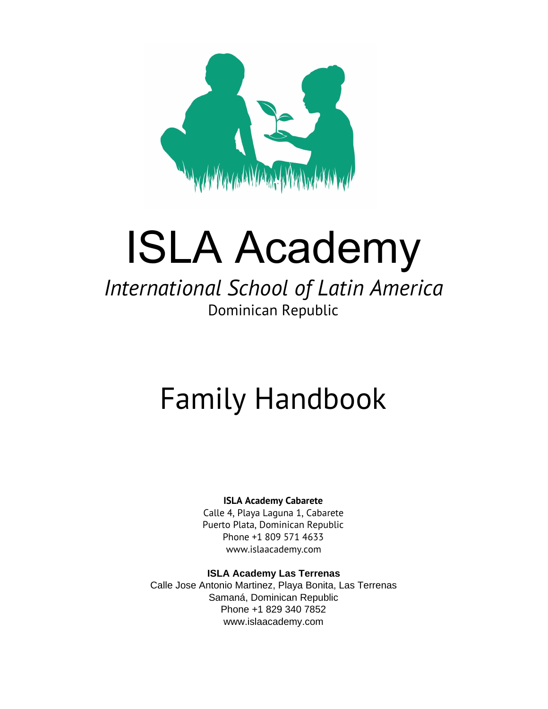

# ISLA Academy

## *International School of Latin America* Dominican Republic

# Family Handbook

#### **ISLA Academy Cabarete**

Calle 4, Playa Laguna 1, Cabarete Puerto Plata, Dominican Republic Phone +1 809 571 4633 [www.islaacademy.co](http://www.islaacademy.co/)m

#### **ISLA Academy Las Terrenas**

Calle Jose Antonio Martinez, Playa Bonita, Las Terrenas Samaná, Dominican Republic Phone +1 829 340 7852 [www.islaacademy.co](http://www.islaacademy.co/)m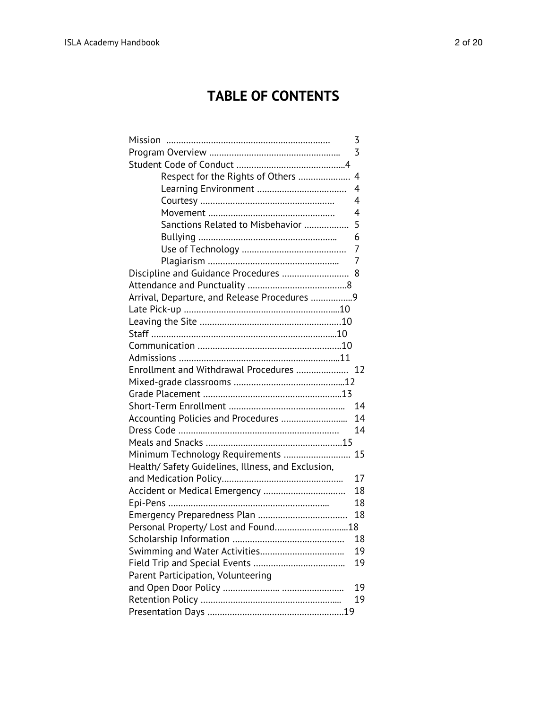### **TABLE OF CONTENTS**

| Mission                                            | 3              |
|----------------------------------------------------|----------------|
|                                                    | 3              |
|                                                    |                |
| Respect for the Rights of Others                   | $\overline{4}$ |
|                                                    | $\overline{4}$ |
|                                                    | 4              |
|                                                    | 4              |
| Sanctions Related to Misbehavior                   | 5              |
|                                                    | 6              |
|                                                    | 7              |
|                                                    | 7              |
| Discipline and Guidance Procedures                 | 8              |
|                                                    |                |
| Arrival, Departure, and Release Procedures 9       |                |
|                                                    |                |
|                                                    |                |
|                                                    |                |
|                                                    |                |
|                                                    |                |
| Enrollment and Withdrawal Procedures  12           |                |
|                                                    |                |
|                                                    |                |
|                                                    | 14             |
|                                                    | 14             |
|                                                    | 14             |
|                                                    |                |
| Minimum Technology Requirements                    | 15             |
| Health/ Safety Guidelines, Illness, and Exclusion, |                |
|                                                    | 17             |
| Accident or Medical Emergency                      | 18             |
|                                                    | 18             |
|                                                    | 18             |
| Personal Property/ Lost and Found18                |                |
|                                                    | 18             |
|                                                    | 19             |
|                                                    |                |
|                                                    | 19             |
| Parent Participation, Volunteering                 |                |
|                                                    | 19             |
|                                                    | 19             |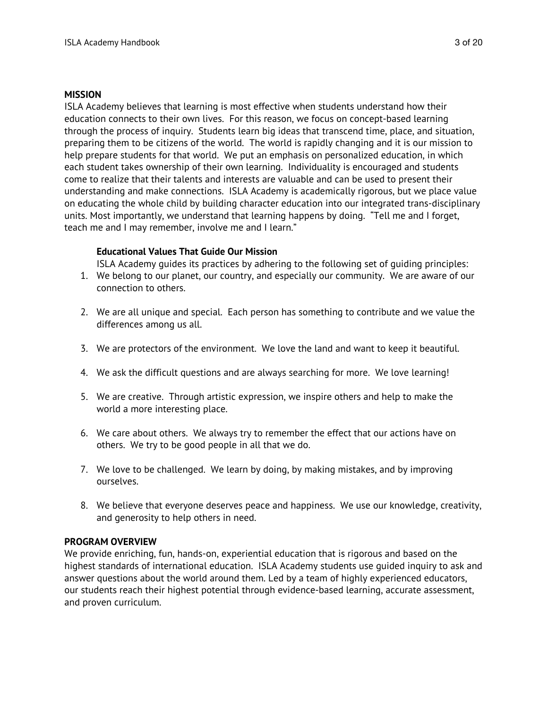#### **MISSION**

ISLA Academy believes that learning is most effective when students understand how their education connects to their own lives. For this reason, we focus on concept-based learning through the process of inquiry. Students learn big ideas that transcend time, place, and situation, preparing them to be citizens of the world. The world is rapidly changing and it is our mission to help prepare students for that world. We put an emphasis on personalized education, in which each student takes ownership of their own learning. Individuality is encouraged and students come to realize that their talents and interests are valuable and can be used to present their understanding and make connections. ISLA Academy is academically rigorous, but we place value on educating the whole child by building character education into our integrated trans-disciplinary units. Most importantly, we understand that learning happens by doing. "Tell me and I forget, teach me and I may remember, involve me and I learn."

#### **Educational Values That Guide Our Mission**

ISLA Academy guides its practices by adhering to the following set of guiding principles:

- 1. We belong to our planet, our country, and especially our community. We are aware of our connection to others.
- 2. We are all unique and special. Each person has something to contribute and we value the differences among us all.
- 3. We are protectors of the environment. We love the land and want to keep it beautiful.
- 4. We ask the difficult questions and are always searching for more. We love learning!
- 5. We are creative. Through artistic expression, we inspire others and help to make the world a more interesting place.
- 6. We care about others. We always try to remember the effect that our actions have on others. We try to be good people in all that we do.
- 7. We love to be challenged. We learn by doing, by making mistakes, and by improving ourselves.
- 8. We believe that everyone deserves peace and happiness. We use our knowledge, creativity, and generosity to help others in need.

#### **PROGRAM OVERVIEW**

We provide enriching, fun, hands-on, experiential education that is rigorous and based on the highest standards of international education. ISLA Academy students use guided inquiry to ask and answer questions about the world around them. Led by a team of highly experienced educators, our students reach their highest potential through evidence-based learning, accurate assessment, and proven curriculum.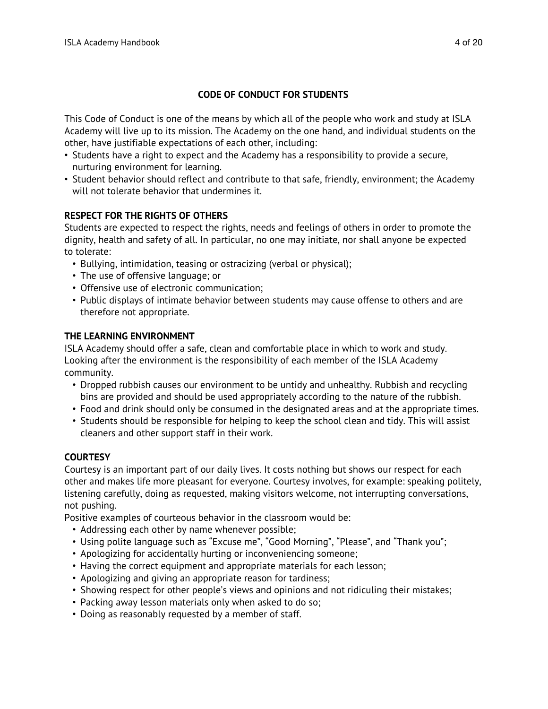#### **CODE OF CONDUCT FOR STUDENTS**

This Code of Conduct is one of the means by which all of the people who work and study at ISLA Academy will live up to its mission. The Academy on the one hand, and individual students on the other, have justifiable expectations of each other, including:

- Students have a right to expect and the Academy has a responsibility to provide a secure, nurturing environment for learning.
- Student behavior should reflect and contribute to that safe, friendly, environment; the Academy will not tolerate behavior that undermines it.

#### **RESPECT FOR THE RIGHTS OF OTHERS**

Students are expected to respect the rights, needs and feelings of others in order to promote the dignity, health and safety of all. In particular, no one may initiate, nor shall anyone be expected to tolerate:

- Bullying, intimidation, teasing or ostracizing (verbal or physical);
- The use of offensive language; or
- Offensive use of electronic communication;
- Public displays of intimate behavior between students may cause offense to others and are therefore not appropriate.

#### **THE LEARNING ENVIRONMENT**

ISLA Academy should offer a safe, clean and comfortable place in which to work and study. Looking after the environment is the responsibility of each member of the ISLA Academy community.

- Dropped rubbish causes our environment to be untidy and unhealthy. Rubbish and recycling bins are provided and should be used appropriately according to the nature of the rubbish.
- Food and drink should only be consumed in the designated areas and at the appropriate times.
- Students should be responsible for helping to keep the school clean and tidy. This will assist cleaners and other support staff in their work.

#### **COURTESY**

Courtesy is an important part of our daily lives. It costs nothing but shows our respect for each other and makes life more pleasant for everyone. Courtesy involves, for example: speaking politely, listening carefully, doing as requested, making visitors welcome, not interrupting conversations, not pushing.

Positive examples of courteous behavior in the classroom would be:

- Addressing each other by name whenever possible;
- Using polite language such as "Excuse me", "Good Morning", "Please", and "Thank you";
- Apologizing for accidentally hurting or inconveniencing someone;
- Having the correct equipment and appropriate materials for each lesson;
- Apologizing and giving an appropriate reason for tardiness;
- Showing respect for other people's views and opinions and not ridiculing their mistakes;
- Packing away lesson materials only when asked to do so;
- Doing as reasonably requested by a member of staff.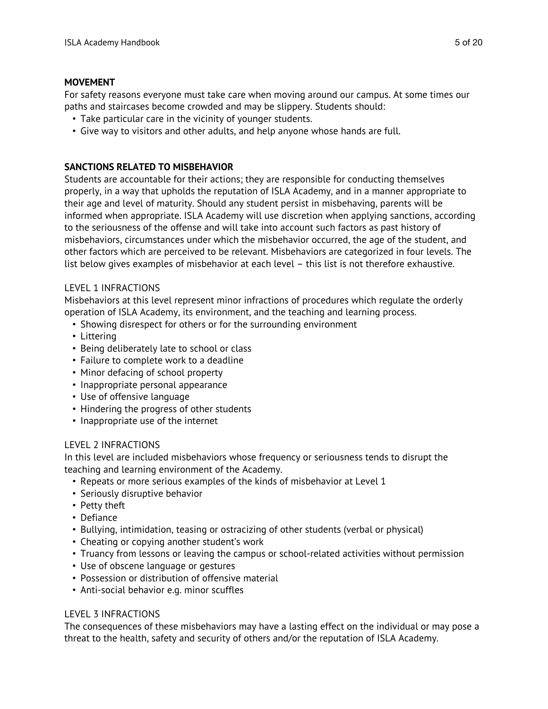#### **MOVEMENT**

For safety reasons everyone must take care when moving around our campus. At some times our paths and staircases become crowded and may be slippery. Students should:

- Take particular care in the vicinity of younger students.
- Give way to visitors and other adults, and help anyone whose hands are full.

#### **SANCTIONS RELATED TO MISBEHAVIOR**

Students are accountable for their actions; they are responsible for conducting themselves properly, in a way that upholds the reputation of ISLA Academy, and in a manner appropriate to their age and level of maturity. Should any student persist in misbehaving, parents will be informed when appropriate. ISLA Academy will use discretion when applying sanctions, according to the seriousness of the offense and will take into account such factors as past history of misbehaviors, circumstances under which the misbehavior occurred, the age of the student, and other factors which are perceived to be relevant. Misbehaviors are categorized in four levels. The list below gives examples of misbehavior at each level – this list is not therefore exhaustive.

#### LEVEL 1 INFRACTIONS

Misbehaviors at this level represent minor infractions of procedures which regulate the orderly operation of ISLA Academy, its environment, and the teaching and learning process.

- Showing disrespect for others or for the surrounding environment
- Littering
- Being deliberately late to school or class
- Failure to complete work to a deadline
- Minor defacing of school property
- Inappropriate personal appearance
- Use of offensive language
- Hindering the progress of other students
- Inappropriate use of the internet

#### LEVEL 2 INFRACTIONS

In this level are included misbehaviors whose frequency or seriousness tends to disrupt the teaching and learning environment of the Academy.

- Repeats or more serious examples of the kinds of misbehavior at Level 1
- Seriously disruptive behavior
- Petty theft
- Defiance
- Bullying, intimidation, teasing or ostracizing of other students (verbal or physical)
- Cheating or copying another student's work
- Truancy from lessons or leaving the campus or school-related activities without permission
- Use of obscene language or gestures
- Possession or distribution of offensive material
- Anti-social behavior e.g. minor scuffles

#### LEVEL 3 INFRACTIONS

The consequences of these misbehaviors may have a lasting effect on the individual or may pose a threat to the health, safety and security of others and/or the reputation of ISLA Academy.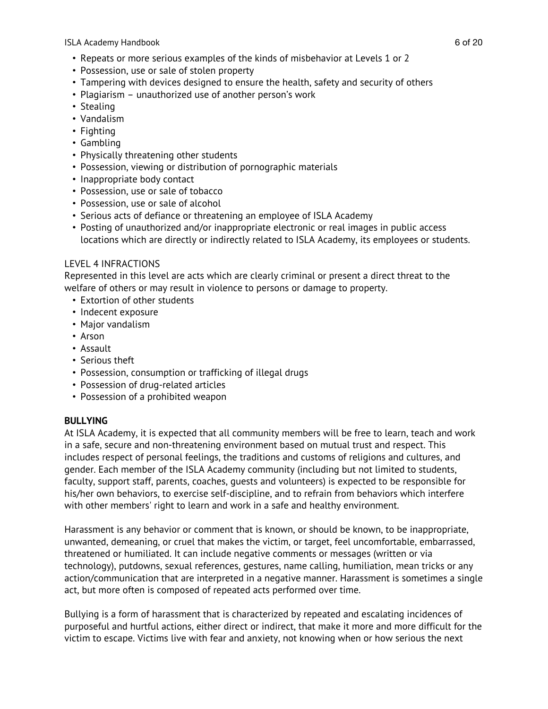ISLA Academy Handbook 6 of 20

- Repeats or more serious examples of the kinds of misbehavior at Levels 1 or 2
- Possession, use or sale of stolen property
- Tampering with devices designed to ensure the health, safety and security of others
- Plagiarism unauthorized use of another person's work
- Stealing
- Vandalism
- Fighting
- Gambling
- Physically threatening other students
- Possession, viewing or distribution of pornographic materials
- Inappropriate body contact
- Possession, use or sale of tobacco
- Possession, use or sale of alcohol
- Serious acts of defiance or threatening an employee of ISLA Academy
- Posting of unauthorized and/or inappropriate electronic or real images in public access locations which are directly or indirectly related to ISLA Academy, its employees or students.

#### LEVEL 4 INFRACTIONS

Represented in this level are acts which are clearly criminal or present a direct threat to the welfare of others or may result in violence to persons or damage to property.

- Extortion of other students
- Indecent exposure
- Major vandalism
- Arson
- Assault
- Serious theft
- Possession, consumption or trafficking of illegal drugs
- Possession of drug-related articles
- Possession of a prohibited weapon

#### **BULLYING**

At ISLA Academy, it is expected that all community members will be free to learn, teach and work in a safe, secure and non-threatening environment based on mutual trust and respect. This includes respect of personal feelings, the traditions and customs of religions and cultures, and gender. Each member of the ISLA Academy community (including but not limited to students, faculty, support staff, parents, coaches, guests and volunteers) is expected to be responsible for his/her own behaviors, to exercise self-discipline, and to refrain from behaviors which interfere with other members' right to learn and work in a safe and healthy environment.

Harassment is any behavior or comment that is known, or should be known, to be inappropriate, unwanted, demeaning, or cruel that makes the victim, or target, feel uncomfortable, embarrassed, threatened or humiliated. It can include negative comments or messages (written or via technology), putdowns, sexual references, gestures, name calling, humiliation, mean tricks or any action/communication that are interpreted in a negative manner. Harassment is sometimes a single act, but more often is composed of repeated acts performed over time.

Bullying is a form of harassment that is characterized by repeated and escalating incidences of purposeful and hurtful actions, either direct or indirect, that make it more and more difficult for the victim to escape. Victims live with fear and anxiety, not knowing when or how serious the next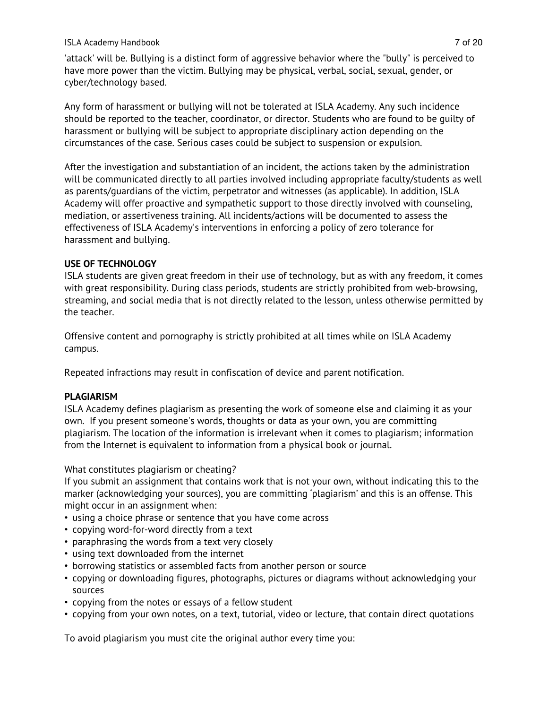#### ISLA Academy Handbook 7 of 20

'attack' will be. Bullying is a distinct form of aggressive behavior where the "bully" is perceived to have more power than the victim. Bullying may be physical, verbal, social, sexual, gender, or cyber/technology based.

Any form of harassment or bullying will not be tolerated at ISLA Academy. Any such incidence should be reported to the teacher, coordinator, or director. Students who are found to be guilty of harassment or bullying will be subject to appropriate disciplinary action depending on the circumstances of the case. Serious cases could be subject to suspension or expulsion.

After the investigation and substantiation of an incident, the actions taken by the administration will be communicated directly to all parties involved including appropriate faculty/students as well as parents/guardians of the victim, perpetrator and witnesses (as applicable). In addition, ISLA Academy will offer proactive and sympathetic support to those directly involved with counseling, mediation, or assertiveness training. All incidents/actions will be documented to assess the effectiveness of ISLA Academy's interventions in enforcing a policy of zero tolerance for harassment and bullying.

#### **USE OF TECHNOLOGY**

ISLA students are given great freedom in their use of technology, but as with any freedom, it comes with great responsibility. During class periods, students are strictly prohibited from web-browsing, streaming, and social media that is not directly related to the lesson, unless otherwise permitted by the teacher.

Offensive content and pornography is strictly prohibited at all times while on ISLA Academy campus.

Repeated infractions may result in confiscation of device and parent notification.

#### **PLAGIARISM**

ISLA Academy defines plagiarism as presenting the work of someone else and claiming it as your own. If you present someone's words, thoughts or data as your own, you are committing plagiarism. The location of the information is irrelevant when it comes to plagiarism; information from the Internet is equivalent to information from a physical book or journal.

What constitutes plagiarism or cheating?

If you submit an assignment that contains work that is not your own, without indicating this to the marker (acknowledging your sources), you are committing 'plagiarism' and this is an offense. This might occur in an assignment when:

- using a choice phrase or sentence that you have come across
- copying word-for-word directly from a text
- paraphrasing the words from a text very closely
- using text downloaded from the internet
- borrowing statistics or assembled facts from another person or source
- copying or downloading figures, photographs, pictures or diagrams without acknowledging your sources
- copying from the notes or essays of a fellow student
- copying from your own notes, on a text, tutorial, video or lecture, that contain direct quotations

To avoid plagiarism you must cite the original author every time you: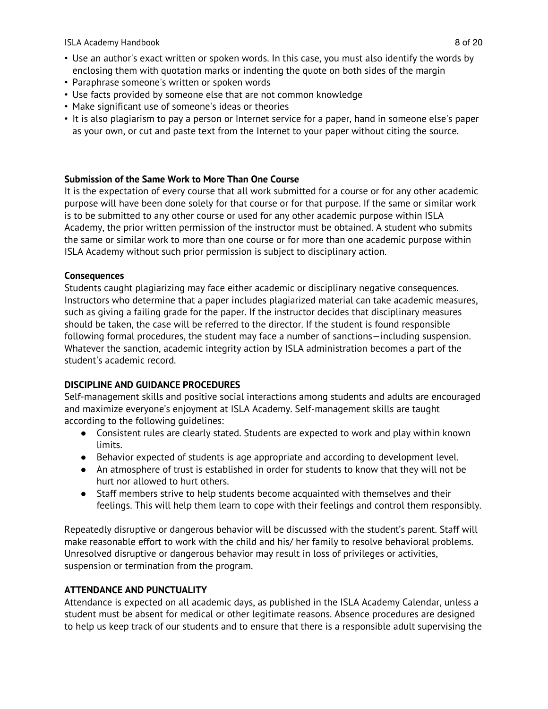ISLA Academy Handbook 8 of 20

- Use an author's exact written or spoken words. In this case, you must also identify the words by enclosing them with quotation marks or indenting the quote on both sides of the margin
- Paraphrase someone's written or spoken words
- Use facts provided by someone else that are not common knowledge
- Make significant use of someone's ideas or theories
- It is also plagiarism to pay a person or Internet service for a paper, hand in someone else's paper as your own, or cut and paste text from the Internet to your paper without citing the source.

#### **Submission of the Same Work to More Than One Course**

It is the expectation of every course that all work submitted for a course or for any other academic purpose will have been done solely for that course or for that purpose. If the same or similar work is to be submitted to any other course or used for any other academic purpose within ISLA Academy, the prior written permission of the instructor must be obtained. A student who submits the same or similar work to more than one course or for more than one academic purpose within ISLA Academy without such prior permission is subject to disciplinary action.

#### **Consequences**

Students caught plagiarizing may face either academic or disciplinary negative consequences. Instructors who determine that a paper includes plagiarized material can take academic measures, such as giving a failing grade for the paper. If the instructor decides that disciplinary measures should be taken, the case will be referred to the director. If the student is found responsible following formal procedures, the student may face a number of sanctions—including suspension. Whatever the sanction, academic integrity action by ISLA administration becomes a part of the student's academic record.

#### **DISCIPLINE AND GUIDANCE PROCEDURES**

Self-management skills and positive social interactions among students and adults are encouraged and maximize everyone's enjoyment at ISLA Academy. Self-management skills are taught according to the following guidelines:

- Consistent rules are clearly stated. Students are expected to work and play within known limits.
- Behavior expected of students is age appropriate and according to development level.
- An atmosphere of trust is established in order for students to know that they will not be hurt nor allowed to hurt others.
- Staff members strive to help students become acquainted with themselves and their feelings. This will help them learn to cope with their feelings and control them responsibly.

Repeatedly disruptive or dangerous behavior will be discussed with the student's parent. Staff will make reasonable effort to work with the child and his/ her family to resolve behavioral problems. Unresolved disruptive or dangerous behavior may result in loss of privileges or activities, suspension or termination from the program.

#### **ATTENDANCE AND PUNCTUALITY**

Attendance is expected on all academic days, as published in the ISLA Academy Calendar, unless a student must be absent for medical or other legitimate reasons. Absence procedures are designed to help us keep track of our students and to ensure that there is a responsible adult supervising the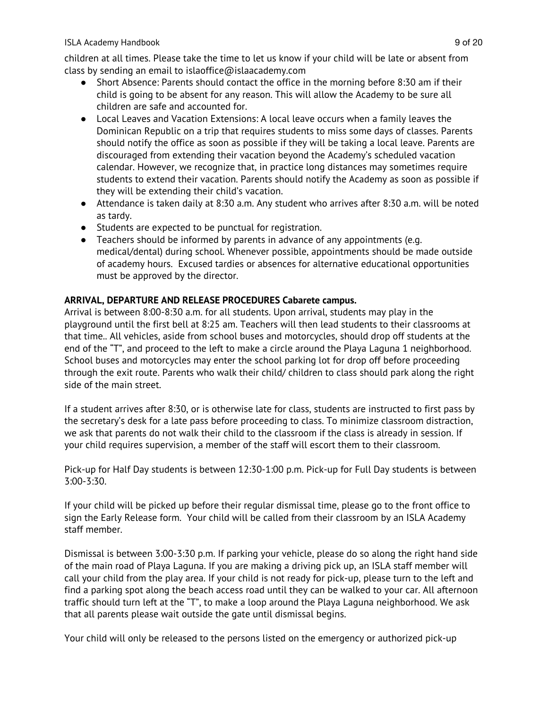#### ISLA Academy Handbook 9 of 20

children at all times. Please take the time to let us know if your child will be late or absent from class by sending an email to islaoffice@islaacademy.com

- Short Absence: Parents should contact the office in the morning before 8:30 am if their child is going to be absent for any reason. This will allow the Academy to be sure all children are safe and accounted for.
- Local Leaves and Vacation Extensions: A local leave occurs when a family leaves the Dominican Republic on a trip that requires students to miss some days of classes. Parents should notify the office as soon as possible if they will be taking a local leave. Parents are discouraged from extending their vacation beyond the Academy's scheduled vacation calendar. However, we recognize that, in practice long distances may sometimes require students to extend their vacation. Parents should notify the Academy as soon as possible if they will be extending their child's vacation.
- Attendance is taken daily at 8:30 a.m. Any student who arrives after 8:30 a.m. will be noted as tardy.
- Students are expected to be punctual for registration.
- Teachers should be informed by parents in advance of any appointments (e.g. medical/dental) during school. Whenever possible, appointments should be made outside of academy hours. Excused tardies or absences for alternative educational opportunities must be approved by the director.

#### **ARRIVAL, DEPARTURE AND RELEASE PROCEDURES Cabarete campus.**

Arrival is between 8:00-8:30 a.m. for all students. Upon arrival, students may play in the playground until the first bell at 8:25 am. Teachers will then lead students to their classrooms at that time.. All vehicles, aside from school buses and motorcycles, should drop off students at the end of the "T", and proceed to the left to make a circle around the Playa Laguna 1 neighborhood. School buses and motorcycles may enter the school parking lot for drop off before proceeding through the exit route. Parents who walk their child/ children to class should park along the right side of the main street.

If a student arrives after 8:30, or is otherwise late for class, students are instructed to first pass by the secretary's desk for a late pass before proceeding to class. To minimize classroom distraction, we ask that parents do not walk their child to the classroom if the class is already in session. If your child requires supervision, a member of the staff will escort them to their classroom.

Pick-up for Half Day students is between 12:30-1:00 p.m. Pick-up for Full Day students is between 3:00-3:30.

If your child will be picked up before their regular dismissal time, please go to the front office to sign the Early Release form. Your child will be called from their classroom by an ISLA Academy staff member.

Dismissal is between 3:00-3:30 p.m. If parking your vehicle, please do so along the right hand side of the main road of Playa Laguna. If you are making a driving pick up, an ISLA staff member will call your child from the play area. If your child is not ready for pick-up, please turn to the left and find a parking spot along the beach access road until they can be walked to your car. All afternoon traffic should turn left at the "T", to make a loop around the Playa Laguna neighborhood. We ask that all parents please wait outside the gate until dismissal begins.

Your child will only be released to the persons listed on the emergency or authorized pick-up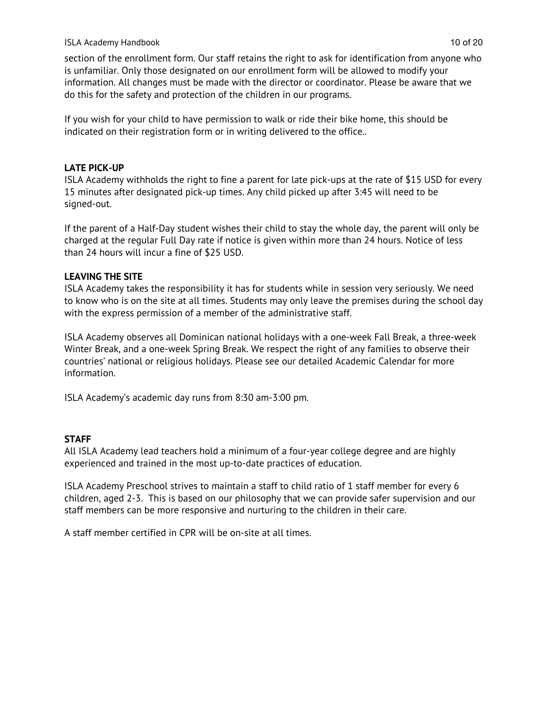#### ISLA Academy Handbook 10 of 20

section of the enrollment form. Our staff retains the right to ask for identification from anyone who is unfamiliar. Only those designated on our enrollment form will be allowed to modify your information. All changes must be made with the director or coordinator. Please be aware that we do this for the safety and protection of the children in our programs.

If you wish for your child to have permission to walk or ride their bike home, this should be indicated on their registration form or in writing delivered to the office..

#### **LATE PICK-UP**

ISLA Academy withholds the right to fine a parent for late pick-ups at the rate of \$15 USD for every 15 minutes after designated pick-up times. Any child picked up after 3:45 will need to be signed-out.

If the parent of a Half-Day student wishes their child to stay the whole day, the parent will only be charged at the regular Full Day rate if notice is given within more than 24 hours. Notice of less than 24 hours will incur a fine of \$25 USD.

#### **LEAVING THE SITE**

ISLA Academy takes the responsibility it has for students while in session very seriously. We need to know who is on the site at all times. Students may only leave the premises during the school day with the express permission of a member of the administrative staff.

ISLA Academy observes all Dominican national holidays with a one-week Fall Break, a three-week Winter Break, and a one-week Spring Break. We respect the right of any families to observe their countries' national or religious holidays. Please see our detailed Academic Calendar for more information.

ISLA Academy's academic day runs from 8:30 am-3:00 pm.

#### **STAFF**

All ISLA Academy lead teachers hold a minimum of a four-year college degree and are highly experienced and trained in the most up-to-date practices of education.

ISLA Academy Preschool strives to maintain a staff to child ratio of 1 staff member for every 6 children, aged 2-3. This is based on our philosophy that we can provide safer supervision and our staff members can be more responsive and nurturing to the children in their care.

A staff member certified in CPR will be on-site at all times.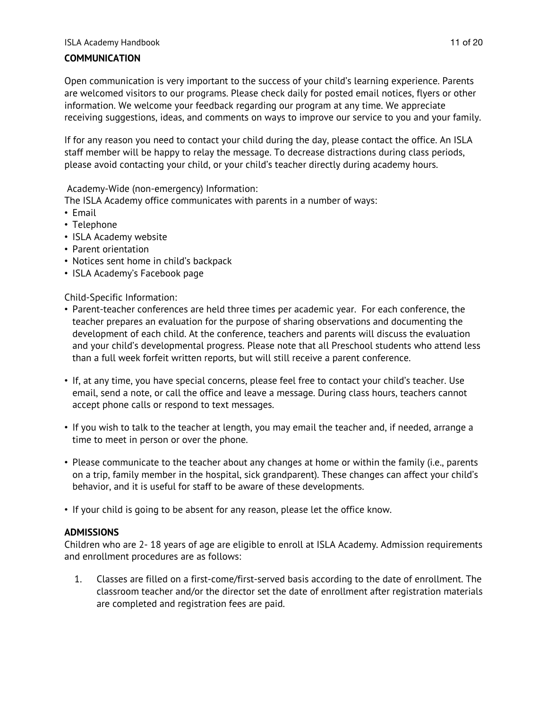#### ISLA Academy Handbook 11 of 20

#### **COMMUNICATION**

Open communication is very important to the success of your child's learning experience. Parents are welcomed visitors to our programs. Please check daily for posted email notices, flyers or other information. We welcome your feedback regarding our program at any time. We appreciate receiving suggestions, ideas, and comments on ways to improve our service to you and your family.

If for any reason you need to contact your child during the day, please contact the office. An ISLA staff member will be happy to relay the message. To decrease distractions during class periods, please avoid contacting your child, or your child's teacher directly during academy hours.

Academy-Wide (non-emergency) Information:

The ISLA Academy office communicates with parents in a number of ways:

- Email
- Telephone
- ISLA Academy website
- Parent orientation
- Notices sent home in child's backpack
- ISLA Academy's Facebook page

Child-Specific Information:

- Parent-teacher conferences are held three times per academic year. For each conference, the teacher prepares an evaluation for the purpose of sharing observations and documenting the development of each child. At the conference, teachers and parents will discuss the evaluation and your child's developmental progress. Please note that all Preschool students who attend less than a full week forfeit written reports, but will still receive a parent conference.
- If, at any time, you have special concerns, please feel free to contact your child's teacher. Use email, send a note, or call the office and leave a message. During class hours, teachers cannot accept phone calls or respond to text messages.
- If you wish to talk to the teacher at length, you may email the teacher and, if needed, arrange a time to meet in person or over the phone.
- Please communicate to the teacher about any changes at home or within the family (i.e., parents on a trip, family member in the hospital, sick grandparent). These changes can affect your child's behavior, and it is useful for staff to be aware of these developments.
- If your child is going to be absent for any reason, please let the office know.

#### **ADMISSIONS**

Children who are 2- 18 years of age are eligible to enroll at ISLA Academy. Admission requirements and enrollment procedures are as follows:

1. Classes are filled on a first-come/first-served basis according to the date of enrollment. The classroom teacher and/or the director set the date of enrollment after registration materials are completed and registration fees are paid.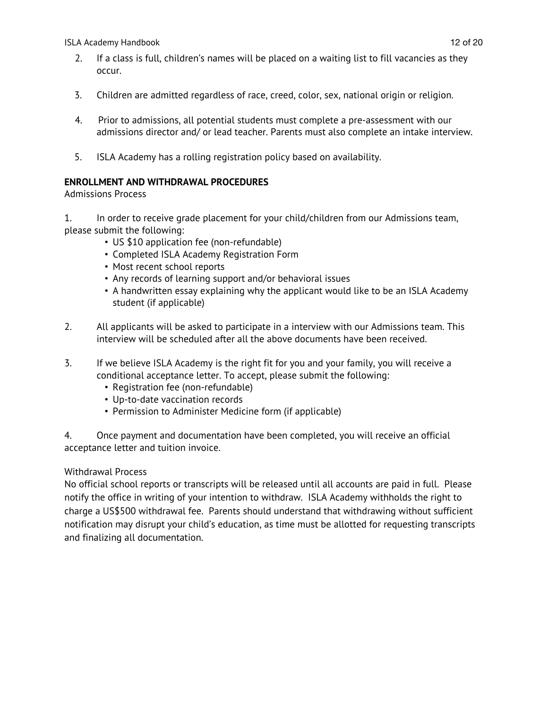ISLA Academy Handbook 12 of 20

- 2. If a class is full, children's names will be placed on a waiting list to fill vacancies as they occur.
- 3. Children are admitted regardless of race, creed, color, sex, national origin or religion.
- 4. Prior to admissions, all potential students must complete a pre-assessment with our admissions director and/ or lead teacher. Parents must also complete an intake interview.
- 5. ISLA Academy has a rolling registration policy based on availability.

#### **ENROLLMENT AND WITHDRAWAL PROCEDURES**

Admissions Process

1. In order to receive grade placement for your child/children from our Admissions team, please submit the following:

- US \$10 application fee (non-refundable)
- Completed ISLA Academy Registration Form
- Most recent school reports
- Any records of learning support and/or behavioral issues
- A handwritten essay explaining why the applicant would like to be an ISLA Academy student (if applicable)
- 2. All applicants will be asked to participate in a interview with our Admissions team. This interview will be scheduled after all the above documents have been received.
- 3. If we believe ISLA Academy is the right fit for you and your family, you will receive a conditional acceptance letter. To accept, please submit the following:
	- Registration fee (non-refundable)
	- Up-to-date vaccination records
	- Permission to Administer Medicine form (if applicable)

4. Once payment and documentation have been completed, you will receive an official acceptance letter and tuition invoice.

#### Withdrawal Process

No official school reports or transcripts will be released until all accounts are paid in full. Please notify the office in writing of your intention to withdraw. ISLA Academy withholds the right to charge a US\$500 withdrawal fee. Parents should understand that withdrawing without sufficient notification may disrupt your child's education, as time must be allotted for requesting transcripts and finalizing all documentation.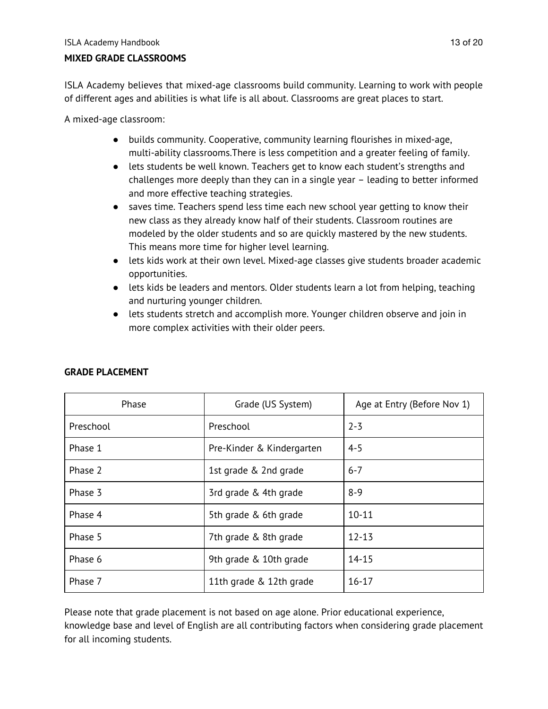#### **MIXED GRADE CLASSROOMS**

ISLA Academy believes that mixed-age classrooms build community. Learning to work with people of different ages and abilities is what life is all about. Classrooms are great places to start.

A mixed-age classroom:

- builds community. Cooperative, community learning flourishes in mixed-age, multi-ability classrooms.There is less competition and a greater feeling of family.
- lets students be well known. Teachers get to know each student's strengths and challenges more deeply than they can in a single year – leading to better informed and more effective teaching strategies.
- saves time. Teachers spend less time each new school year getting to know their new class as they already know half of their students. Classroom routines are modeled by the older students and so are quickly mastered by the new students. This means more time for higher level learning.
- lets kids work at their own level. Mixed-age classes give students broader academic opportunities.
- lets kids be leaders and mentors. Older students learn a lot from helping, teaching and nurturing younger children.
- lets students stretch and accomplish more. Younger children observe and join in more complex activities with their older peers.

| Phase                              | Grade (US System)         | Age at Entry (Before Nov 1) |
|------------------------------------|---------------------------|-----------------------------|
| Preschool                          | Preschool                 | $2 - 3$                     |
| Phase 1                            | Pre-Kinder & Kindergarten | $4 - 5$                     |
| Phase 2                            | 1st grade & 2nd grade     | $6 - 7$                     |
| Phase 3                            | 3rd grade & 4th grade     | $8 - 9$                     |
| Phase 4                            | 5th grade & 6th grade     | $10 - 11$                   |
| Phase 5                            | 7th grade & 8th grade     | $12 - 13$                   |
| Phase 6                            | 9th grade & 10th grade    | $14 - 15$                   |
| Phase 7<br>11th grade & 12th grade |                           | $16 - 17$                   |

#### **GRADE PLACEMENT**

Please note that grade placement is not based on age alone. Prior educational experience, knowledge base and level of English are all contributing factors when considering grade placement for all incoming students.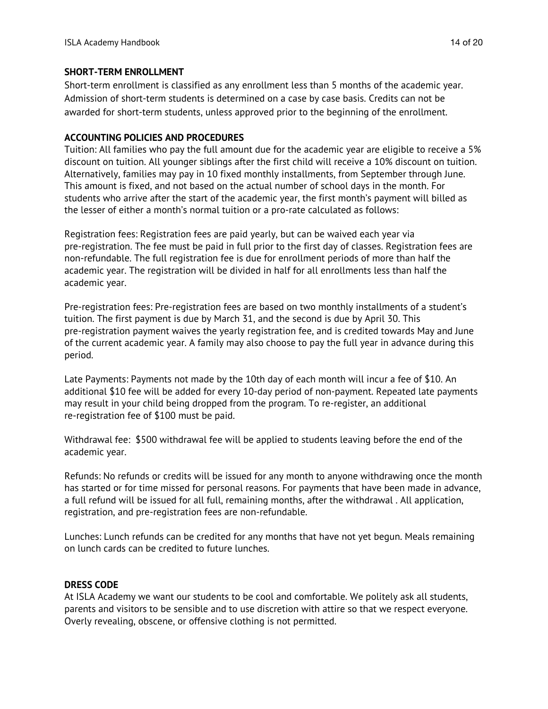#### **SHORT-TERM ENROLLMENT**

Short-term enrollment is classified as any enrollment less than 5 months of the academic year. Admission of short-term students is determined on a case by case basis. Credits can not be awarded for short-term students, unless approved prior to the beginning of the enrollment.

#### **ACCOUNTING POLICIES AND PROCEDURES**

Tuition: All families who pay the full amount due for the academic year are eligible to receive a 5% discount on tuition. All younger siblings after the first child will receive a 10% discount on tuition. Alternatively, families may pay in 10 fixed monthly installments, from September through June. This amount is fixed, and not based on the actual number of school days in the month. For students who arrive after the start of the academic year, the first month's payment will billed as the lesser of either a month's normal tuition or a pro-rate calculated as follows:

Registration fees: Registration fees are paid yearly, but can be waived each year via pre-registration. The fee must be paid in full prior to the first day of classes. Registration fees are non-refundable. The full registration fee is due for enrollment periods of more than half the academic year. The registration will be divided in half for all enrollments less than half the academic year.

Pre-registration fees: Pre-registration fees are based on two monthly installments of a student's tuition. The first payment is due by March 31, and the second is due by April 30. This pre-registration payment waives the yearly registration fee, and is credited towards May and June of the current academic year. A family may also choose to pay the full year in advance during this period.

Late Payments: Payments not made by the 10th day of each month will incur a fee of \$10. An additional \$10 fee will be added for every 10-day period of non-payment. Repeated late payments may result in your child being dropped from the program. To re-register, an additional re-registration fee of \$100 must be paid.

Withdrawal fee: \$500 withdrawal fee will be applied to students leaving before the end of the academic year.

Refunds: No refunds or credits will be issued for any month to anyone withdrawing once the month has started or for time missed for personal reasons. For payments that have been made in advance, a full refund will be issued for all full, remaining months, after the withdrawal . All application, registration, and pre-registration fees are non-refundable.

Lunches: Lunch refunds can be credited for any months that have not yet begun. Meals remaining on lunch cards can be credited to future lunches.

#### **DRESS CODE**

At ISLA Academy we want our students to be cool and comfortable. We politely ask all students, parents and visitors to be sensible and to use discretion with attire so that we respect everyone. Overly revealing, obscene, or offensive clothing is not permitted.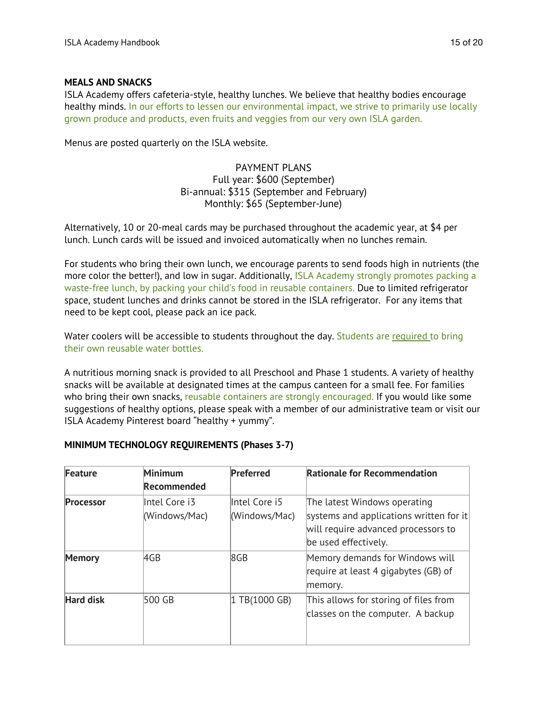#### **MEALS AND SNACKS**

ISLA Academy offers cafeteria-style, healthy lunches. We believe that healthy bodies encourage healthy minds. In our efforts to lessen our environmental impact, we strive to primarily use locally grown produce and products, even fruits and veggies from our very own ISLA garden.

Menus are posted quarterly on the ISLA website.

#### PAYMENT PLANS Full year: \$600 (September) Bi-annual: \$315 (September and February) Monthly: \$65 (September-June)

Alternatively, 10 or 20-meal cards may be purchased throughout the academic year, at \$4 per lunch. Lunch cards will be issued and invoiced automatically when no lunches remain.

For students who bring their own lunch, we encourage parents to send foods high in nutrients (the more color the better!), and low in sugar. Additionally, ISLA Academy strongly promotes packing a waste-free lunch, by packing your child's food in reusable containers. Due to limited refrigerator space, student lunches and drinks cannot be stored in the ISLA refrigerator. For any items that need to be kept cool, please pack an ice pack.

Water coolers will be accessible to students throughout the day. Students are required to bring their own reusable water bottles.

A nutritious morning snack is provided to all Preschool and Phase 1 students. A variety of healthy snacks will be available at designated times at the campus canteen for a small fee. For families who bring their own snacks, reusable containers are strongly encouraged. If you would like some suggestions of healthy options, please speak with a member of our administrative team or visit our ISLA Academy Pinterest board "healthy + yummy".

| Feature          | Minimum<br>Recommended         | Preferred                      | <b>Rationale for Recommendation</b>                                                                                                    |
|------------------|--------------------------------|--------------------------------|----------------------------------------------------------------------------------------------------------------------------------------|
| <b>Processor</b> | Intel Core i3<br>(Windows/Mac) | Intel Core i5<br>(Windows/Mac) | The latest Windows operating<br>systems and applications written for it<br>will require advanced processors to<br>be used effectively. |
| <b>Memory</b>    | AGB                            | 8 <sub>GB</sub>                | Memory demands for Windows will<br>require at least 4 gigabytes (GB) of<br>memory.                                                     |
| <b>Hard disk</b> | 500 GB                         | 1 TB(1000 GB)                  | This allows for storing of files from<br>classes on the computer. A backup                                                             |

#### **MINIMUM TECHNOLOGY REQUIREMENTS (Phases 3-7)**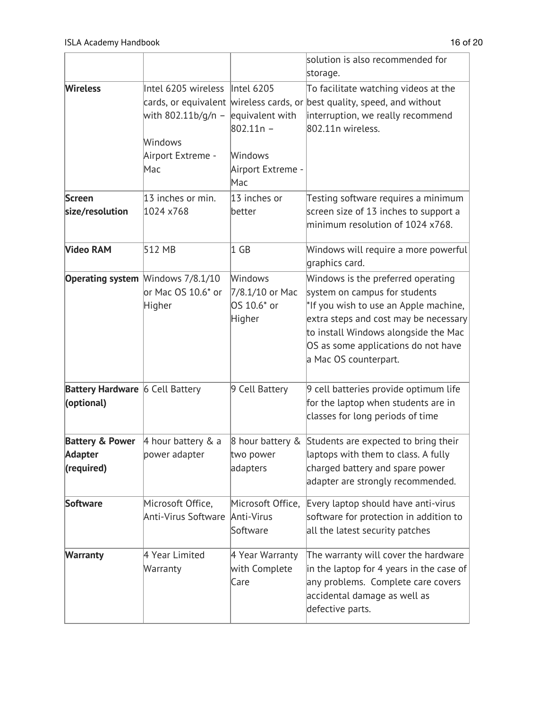|                                               |                                                                                                          |                                                                                     | solution is also recommended for<br>storage.                                                                                                                                                                                                                  |
|-----------------------------------------------|----------------------------------------------------------------------------------------------------------|-------------------------------------------------------------------------------------|---------------------------------------------------------------------------------------------------------------------------------------------------------------------------------------------------------------------------------------------------------------|
| <b>Wireless</b>                               | Intel 6205 wireless<br>cards, or equivalent<br>with 802.11b/g/n -<br>Windows<br>Airport Extreme -<br>Mac | Intel 6205<br>equivalent with<br>$802.11n -$<br>Windows<br>Airport Extreme -<br>Mac | To facilitate watching videos at the<br>wireless cards, or best quality, speed, and without<br>interruption, we really recommend<br>802.11n wireless.                                                                                                         |
| <b>Screen</b>                                 | 13 inches or min.                                                                                        | 13 inches or                                                                        | Testing software requires a minimum                                                                                                                                                                                                                           |
| size/resolution                               | 1024 x768                                                                                                | better                                                                              | screen size of 13 inches to support a<br>minimum resolution of 1024 x768.                                                                                                                                                                                     |
| <b>Video RAM</b>                              | 512 MB                                                                                                   | 1 GB                                                                                | Windows will require a more powerful<br>graphics card.                                                                                                                                                                                                        |
|                                               | <b>Operating system Windows 7/8.1/10</b><br>or Mac OS 10.6* or<br>Higher                                 | Windows<br>7/8.1/10 or Mac<br>OS 10.6* or<br>Higher                                 | Windows is the preferred operating<br>system on campus for students<br>*If you wish to use an Apple machine,<br>extra steps and cost may be necessary<br>to install Windows alongside the Mac<br>OS as some applications do not have<br>a Mac OS counterpart. |
| Battery Hardware 6 Cell Battery<br>(optional) |                                                                                                          | 9 Cell Battery                                                                      | 9 cell batteries provide optimum life<br>for the laptop when students are in<br>classes for long periods of time                                                                                                                                              |
| <b>Battery &amp; Power</b>                    | 4 hour battery $& a$                                                                                     |                                                                                     | 8 hour battery & Students are expected to bring their                                                                                                                                                                                                         |
| Adapter                                       | power adapter                                                                                            | two power                                                                           | laptops with them to class. A fully                                                                                                                                                                                                                           |
| (required)                                    |                                                                                                          | adapters                                                                            | charged battery and spare power<br>adapter are strongly recommended.                                                                                                                                                                                          |
| <b>Software</b>                               | Microsoft Office,<br>Anti-Virus Software                                                                 | Microsoft Office,<br>Anti-Virus<br>Software                                         | Every laptop should have anti-virus<br>software for protection in addition to<br>all the latest security patches                                                                                                                                              |
| <b>Warranty</b>                               | 4 Year Limited<br>Warranty                                                                               | 4 Year Warranty<br>with Complete<br>Care                                            | The warranty will cover the hardware<br>in the laptop for 4 years in the case of<br>any problems. Complete care covers<br>accidental damage as well as<br>defective parts.                                                                                    |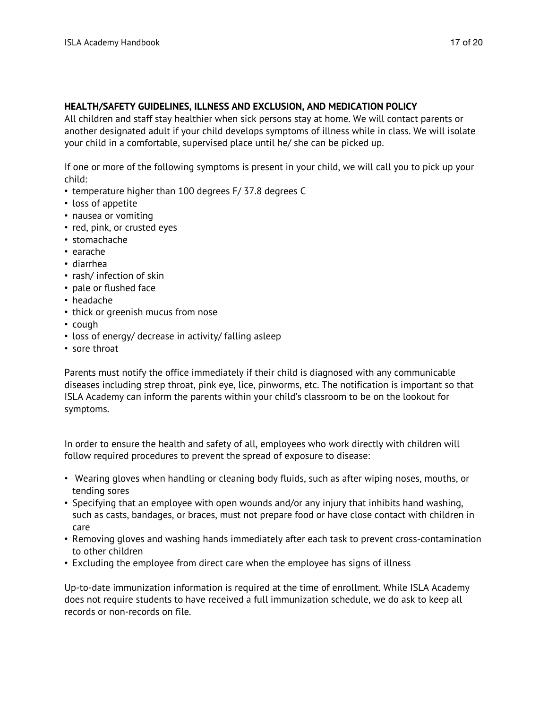#### **HEALTH/SAFETY GUIDELINES, ILLNESS AND EXCLUSION, AND MEDICATION POLICY**

All children and staff stay healthier when sick persons stay at home. We will contact parents or another designated adult if your child develops symptoms of illness while in class. We will isolate your child in a comfortable, supervised place until he/ she can be picked up.

If one or more of the following symptoms is present in your child, we will call you to pick up your child:

- temperature higher than 100 degrees F/ 37.8 degrees C
- loss of appetite
- nausea or vomiting
- red, pink, or crusted eyes
- stomachache
- earache
- diarrhea
- rash/ infection of skin
- pale or flushed face
- headache
- thick or greenish mucus from nose
- cough
- loss of energy/ decrease in activity/ falling asleep
- sore throat

Parents must notify the office immediately if their child is diagnosed with any communicable diseases including strep throat, pink eye, lice, pinworms, etc. The notification is important so that ISLA Academy can inform the parents within your child's classroom to be on the lookout for symptoms.

In order to ensure the health and safety of all, employees who work directly with children will follow required procedures to prevent the spread of exposure to disease:

- Wearing gloves when handling or cleaning body fluids, such as after wiping noses, mouths, or tending sores
- Specifying that an employee with open wounds and/or any injury that inhibits hand washing, such as casts, bandages, or braces, must not prepare food or have close contact with children in care
- Removing gloves and washing hands immediately after each task to prevent cross-contamination to other children
- Excluding the employee from direct care when the employee has signs of illness

Up-to-date immunization information is required at the time of enrollment. While ISLA Academy does not require students to have received a full immunization schedule, we do ask to keep all records or non-records on file.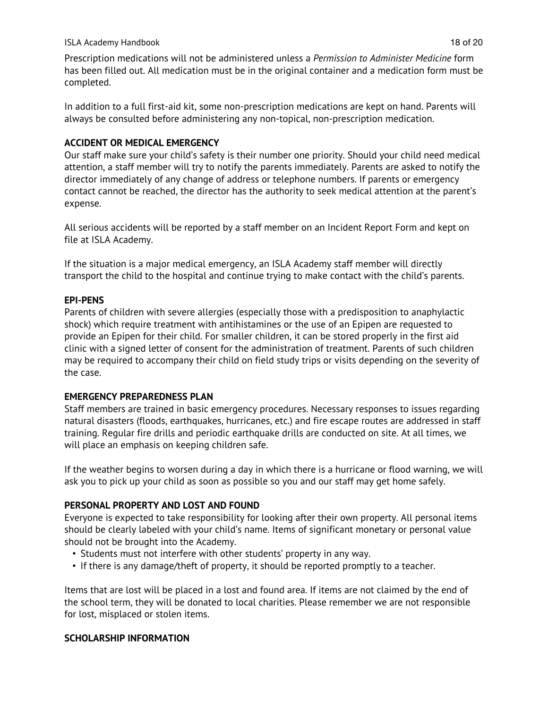#### ISLA Academy Handbook 18 of 20

Prescription medications will not be administered unless a *Permission to Administer Medicine* form has been filled out. All medication must be in the original container and a medication form must be completed.

In addition to a full first-aid kit, some non-prescription medications are kept on hand. Parents will always be consulted before administering any non-topical, non-prescription medication.

#### **ACCIDENT OR MEDICAL EMERGENCY**

Our staff make sure your child's safety is their number one priority. Should your child need medical attention, a staff member will try to notify the parents immediately. Parents are asked to notify the director immediately of any change of address or telephone numbers. If parents or emergency contact cannot be reached, the director has the authority to seek medical attention at the parent's expense.

All serious accidents will be reported by a staff member on an Incident Report Form and kept on file at ISLA Academy.

If the situation is a major medical emergency, an ISLA Academy staff member will directly transport the child to the hospital and continue trying to make contact with the child's parents.

#### **EPI-PENS**

Parents of children with severe allergies (especially those with a predisposition to anaphylactic shock) which require treatment with antihistamines or the use of an Epipen are requested to provide an Epipen for their child. For smaller children, it can be stored properly in the first aid clinic with a signed letter of consent for the administration of treatment. Parents of such children may be required to accompany their child on field study trips or visits depending on the severity of the case.

#### **EMERGENCY PREPAREDNESS PLAN**

Staff members are trained in basic emergency procedures. Necessary responses to issues regarding natural disasters (floods, earthquakes, hurricanes, etc.) and fire escape routes are addressed in staff training. Regular fire drills and periodic earthquake drills are conducted on site. At all times, we will place an emphasis on keeping children safe.

If the weather begins to worsen during a day in which there is a hurricane or flood warning, we will ask you to pick up your child as soon as possible so you and our staff may get home safely.

#### **PERSONAL PROPERTY AND LOST AND FOUND**

Everyone is expected to take responsibility for looking after their own property. All personal items should be clearly labeled with your child's name. Items of significant monetary or personal value should not be brought into the Academy.

- Students must not interfere with other students' property in any way.
- If there is any damage/theft of property, it should be reported promptly to a teacher.

Items that are lost will be placed in a lost and found area. If items are not claimed by the end of the school term, they will be donated to local charities. Please remember we are not responsible for lost, misplaced or stolen items.

#### **SCHOLARSHIP INFORMATION**